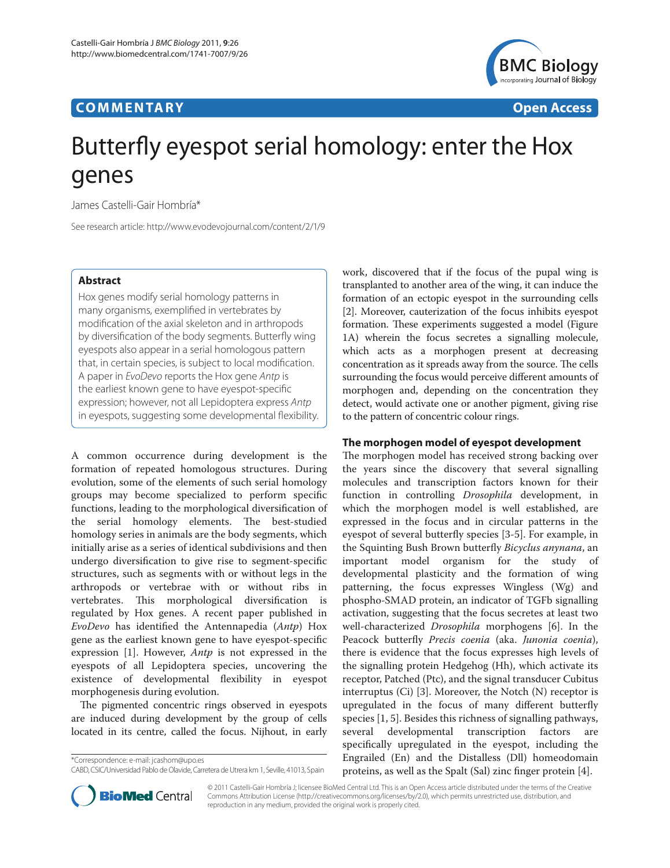# **COMMENTARY COMMENTARY Open Access**



# Butterfly eyespot serial homology: enter the Hox genes

James Castelli-Gair Hombría\*

See research article: http://www.evodevojournal.com/content/2/1/9

# **Abstract**

Hox genes modify serial homology patterns in many organisms, exemplified in vertebrates by modification of the axial skeleton and in arthropods by diversification of the body segments. Butterfly wing eyespots also appear in a serial homologous pattern that, in certain species, is subject to local modification. A paper in *EvoDevo* reports the Hox gene *Antp* is the earliest known gene to have eyespot-specific expression; however, not all Lepidoptera express *Antp* in eyespots, suggesting some developmental flexibility.

A common occurrence during development is the formation of repeated homologous structures. During evolution, some of the elements of such serial homology groups may become specialized to perform specific functions, leading to the morphological diversification of the serial homology elements. The best-studied homology series in animals are the body segments, which initially arise as a series of identical subdivisions and then undergo diversification to give rise to segment-specific structures, such as segments with or without legs in the arthropods or vertebrae with or without ribs in vertebrates. This morphological diversification is regulated by Hox genes. A recent paper published in *EvoDevo* has identified the Antennapedia (*Antp*) Hox gene as the earliest known gene to have eyespot-specific expression [1]. However, *Antp* is not expressed in the eyespots of all Lepidoptera species, uncovering the existence of developmental flexibility in eyespot morphogenesis during evolution.

The pigmented concentric rings observed in eyespots are induced during development by the group of cells located in its centre, called the focus. Nijhout, in early

\*Correspondence: e-mail: jcashom@upo.es

work, discovered that if the focus of the pupal wing is transplanted to another area of the wing, it can induce the formation of an ectopic eyespot in the surrounding cells [2]. Moreover, cauterization of the focus inhibits eyespot formation. These experiments suggested a model (Figure 1A) wherein the focus secretes a signalling molecule, which acts as a morphogen present at decreasing concentration as it spreads away from the source. The cells surrounding the focus would perceive different amounts of morphogen and, depending on the concentration they detect, would activate one or another pigment, giving rise to the pattern of concentric colour rings.

## **The morphogen model of eyespot development**

The morphogen model has received strong backing over the years since the discovery that several signalling molecules and transcription factors known for their function in controlling *Drosophila* development, in which the morphogen model is well established, are expressed in the focus and in circular patterns in the eyespot of several butterfly species [3-5]. For example, in the Squinting Bush Brown butterfly *Bicyclus anynana*, an important model organism for the study of developmental plasticity and the formation of wing patterning, the focus expresses Wingless (Wg) and phospho-SMAD protein, an indicator of TGFb signalling activation, suggesting that the focus secretes at least two well-characterized *Drosophila* morphogens [6]. In the Peacock butterfly *Precis coenia* (aka. *Junonia coenia*), there is evidence that the focus expresses high levels of the signalling protein Hedgehog (Hh), which activate its receptor, Patched (Ptc), and the signal transducer Cubitus interruptus (Ci) [3]. Moreover, the Notch (N) receptor is upregulated in the focus of many different butterfly species [1, 5]. Besides this richness of signalling pathways, several developmental transcription factors are specifically upregulated in the eyespot, including the Engrailed (En) and the Distalless (Dll) homeodomain proteins, as well as the Spalt (Sal) zinc finger protein [4].



© 2011 Castelli-Gair Hombría J; licensee BioMed Central Ltd. This is an Open Access article distributed under the terms of the Creative Commons Attribution License (http://creativecommons.org/licenses/by/2.0), which permits unrestricted use, distribution, and reproduction in any medium, provided the original work is properly cited.

CABD, CSIC/Universidad Pablo de Olavide, Carretera de Utrera km 1, Seville, 41013, Spain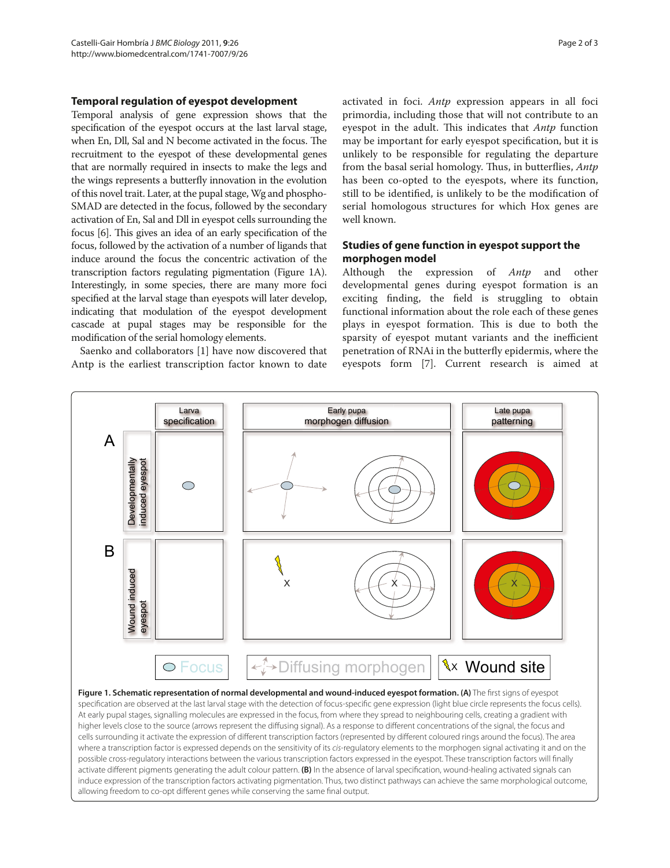#### **Temporal regulation of eyespot development**

Temporal analysis of gene expression shows that the specification of the eyespot occurs at the last larval stage, when En, Dll, Sal and N become activated in the focus. The recruitment to the eyespot of these developmental genes that are normally required in insects to make the legs and the wings represents a butterfly innovation in the evolution of this novel trait. Later, at the pupal stage, Wg and phospho-SMAD are detected in the focus, followed by the secondary activation of En, Sal and Dll in eyespot cells surrounding the focus [6]. This gives an idea of an early specification of the focus, followed by the activation of a number of ligands that induce around the focus the concentric activation of the transcription factors regulating pigmentation (Figure 1A). Interestingly, in some species, there are many more foci specified at the larval stage than eyespots will later develop, indicating that modulation of the eyespot development cascade at pupal stages may be responsible for the modification of the serial homology elements.

Saenko and collaborators [1] have now discovered that Antp is the earliest transcription factor known to date

activated in foci. *Antp* expression appears in all foci primordia, including those that will not contribute to an eyespot in the adult. This indicates that *Antp* function may be important for early eyespot specification, but it is unlikely to be responsible for regulating the departure from the basal serial homology. Thus, in butterflies, *Antp* has been co-opted to the eyespots, where its function, still to be identified, is unlikely to be the modification of serial homologous structures for which Hox genes are

## **Studies of gene function in eyespot support the morphogen model**

well known.

Although the expression of *Antp* and other developmental genes during eyespot formation is an exciting finding, the field is struggling to obtain functional information about the role each of these genes plays in eyespot formation. This is due to both the sparsity of eyespot mutant variants and the inefficient penetration of RNAi in the butterfly epidermis, where the eyespots form [7]. Current research is aimed at



higher levels close to the source (arrows represent the diffusing signal). As a response to different concentrations of the signal, the focus and nigher levels close to the source (arrows represent the uniusing signal). As a response to unletent concentrations or the signal, the locus and<br>cells surrounding it activate the expression of different transcription factor where a transcription factor is expressed depends on the sensitivity of its *cis*-regulatory elements to the morphogen signal activating it and on the possible cross-regulatory interactions between the various transcription factors expressed in the eyespot. These transcription factors will finally activate different pigments generating the adult colour pattern. (B) In the absence of larval specification, wound-healing activated signals can induce expression of the transcription factors activating pigmentation. Thus, two distinct pathways can achieve the same morphological outcome, allowing freedom to co-opt different genes while conserving the same final output.